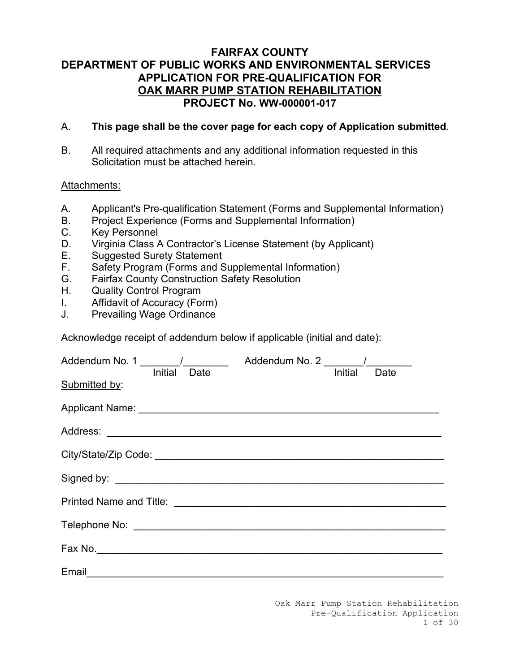## **FAIRFAX COUNTY DEPARTMENT OF PUBLIC WORKS AND ENVIRONMENTAL SERVICES APPLICATION FOR PRE-QUALIFICATION FOR OAK MARR PUMP STATION REHABILITATION PROJECT No. WW-000001-017**

#### A. **This page shall be the cover page for each copy of Application submitted**.

B. All required attachments and any additional information requested in this Solicitation must be attached herein.

#### Attachments:

- A. Applicant's Pre-qualification Statement (Forms and Supplemental Information)
- B. Project Experience (Forms and Supplemental Information)
- C. Key Personnel
- D. Virginia Class A Contractor's License Statement (by Applicant)
- E. Suggested Surety Statement
- F. Safety Program (Forms and Supplemental Information)
- G. Fairfax County Construction Safety Resolution
- H. Quality Control Program
- I. Affidavit of Accuracy (Form)
- J. Prevailing Wage Ordinance

Acknowledge receipt of addendum below if applicable (initial and date):

| Addendum No. 1<br>Date<br>Initial | Addendum No. 2 /<br>Date<br>Initial |
|-----------------------------------|-------------------------------------|
| Submitted by:                     |                                     |
|                                   |                                     |
|                                   |                                     |
|                                   |                                     |
|                                   |                                     |
|                                   |                                     |
|                                   |                                     |
|                                   |                                     |
| Email                             |                                     |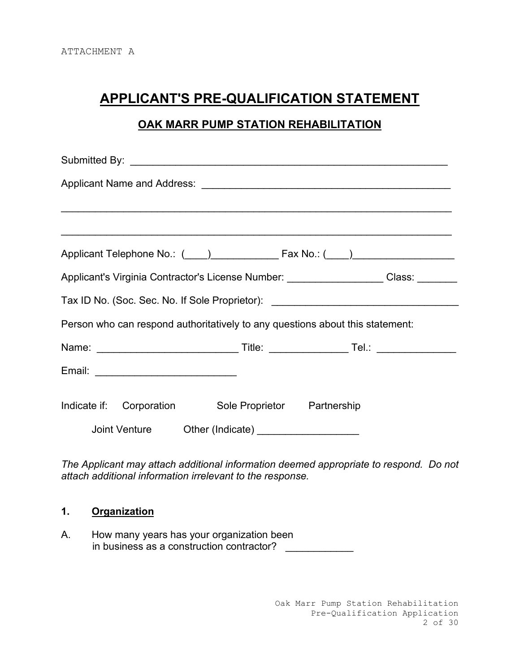# **APPLICANT'S PRE-QUALIFICATION STATEMENT**

# **OAK MARR PUMP STATION REHABILITATION**

| Applicant's Virginia Contractor's License Number: __________________ Class: _______ |  |  |  |
|-------------------------------------------------------------------------------------|--|--|--|
| Tax ID No. (Soc. Sec. No. If Sole Proprietor): _________________________________    |  |  |  |
| Person who can respond authoritatively to any questions about this statement:       |  |  |  |
|                                                                                     |  |  |  |
|                                                                                     |  |  |  |
| Indicate if: Corporation Sole Proprietor Partnership                                |  |  |  |
| Joint Venture Other (Indicate) Communications                                       |  |  |  |

*The Applicant may attach additional information deemed appropriate to respond. Do not attach additional information irrelevant to the response.*

### **1. Organization**

A. How many years has your organization been in business as a construction contractor? \_\_\_\_\_\_\_\_\_\_\_\_

> Oak Marr Pump Station Rehabilitation Pre-Qualification Application 2 of 30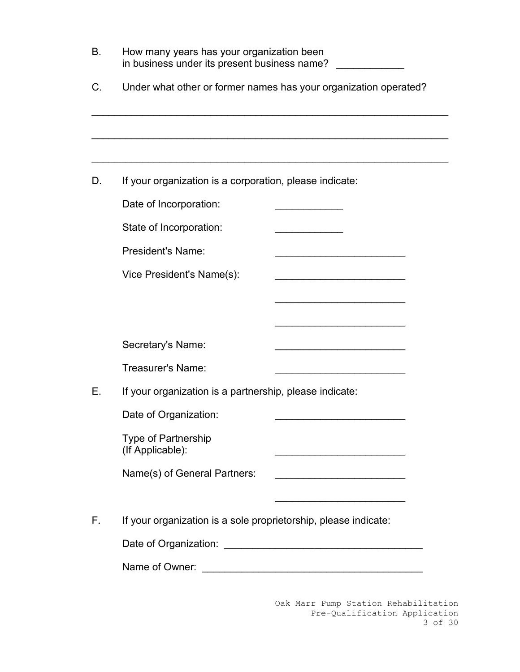| В. | How many years has your organization been<br>in business under its present business name? |                                                                                                                      |  |  |
|----|-------------------------------------------------------------------------------------------|----------------------------------------------------------------------------------------------------------------------|--|--|
| C. | Under what other or former names has your organization operated?                          |                                                                                                                      |  |  |
|    |                                                                                           |                                                                                                                      |  |  |
|    |                                                                                           |                                                                                                                      |  |  |
| D. | If your organization is a corporation, please indicate:                                   |                                                                                                                      |  |  |
|    | Date of Incorporation:                                                                    |                                                                                                                      |  |  |
|    | State of Incorporation:                                                                   |                                                                                                                      |  |  |
|    | <b>President's Name:</b>                                                                  |                                                                                                                      |  |  |
|    | Vice President's Name(s):                                                                 |                                                                                                                      |  |  |
|    |                                                                                           |                                                                                                                      |  |  |
|    |                                                                                           |                                                                                                                      |  |  |
|    | Secretary's Name:                                                                         | the control of the control of the control of the control of                                                          |  |  |
|    | Treasurer's Name:                                                                         | <u> 1989 - Johann John Stone, market fransk politiker (</u>                                                          |  |  |
| Е. | If your organization is a partnership, please indicate:                                   |                                                                                                                      |  |  |
|    | Date of Organization:                                                                     |                                                                                                                      |  |  |
|    | <b>Type of Partnership</b><br>(If Applicable):                                            | <u> 1989 - Johann Barbara, martxa alemani</u> ar a                                                                   |  |  |
|    | Name(s) of General Partners:                                                              | <u> 1990 - Johann John Stone, mars eta bat eta bat eta bat eta bat eta bat eta bat eta bat eta bat eta bat eta b</u> |  |  |
|    |                                                                                           |                                                                                                                      |  |  |
| F. | If your organization is a sole proprietorship, please indicate:                           |                                                                                                                      |  |  |
|    |                                                                                           |                                                                                                                      |  |  |
|    |                                                                                           |                                                                                                                      |  |  |
|    |                                                                                           |                                                                                                                      |  |  |

Oak Marr Pump Station Rehabilitation Pre-Qualification Application 3 of 30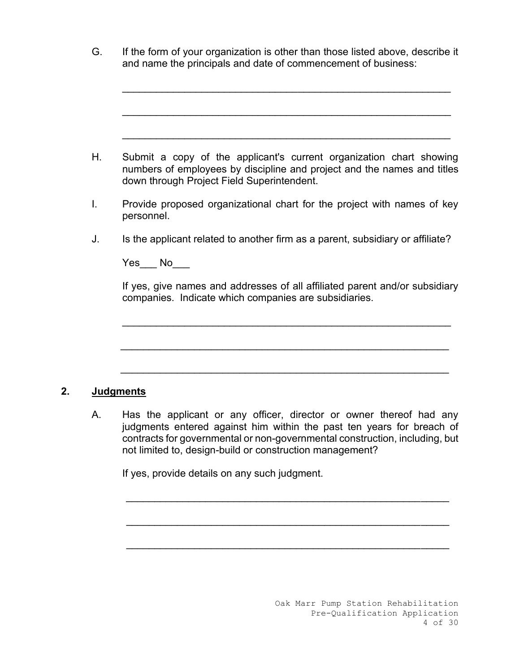G. If the form of your organization is other than those listed above, describe it and name the principals and date of commencement of business:

 $\mathcal{L}_\text{max}$  , and the contribution of the contribution of the contribution of the contribution of the contribution of the contribution of the contribution of the contribution of the contribution of the contribution of t \_\_\_\_\_\_\_\_\_\_\_\_\_\_\_\_\_\_\_\_\_\_\_\_\_\_\_\_\_\_\_\_\_\_\_\_\_\_\_\_\_\_\_\_\_\_\_\_\_\_\_\_\_\_\_\_\_\_  $\mathcal{L}_\text{max}$  , and the contribution of the contribution of the contribution of the contribution of the contribution of the contribution of the contribution of the contribution of the contribution of the contribution of t H. Submit a copy of the applicant's current organization chart showing numbers of employees by discipline and project and the names and titles down through Project Field Superintendent. I. Provide proposed organizational chart for the project with names of key personnel. J. Is the applicant related to another firm as a parent, subsidiary or affiliate? Yes No If yes, give names and addresses of all affiliated parent and/or subsidiary companies. Indicate which companies are subsidiaries.  $\mathcal{L}_\text{max} = \frac{1}{2} \sum_{i=1}^n \mathcal{L}_\text{max}(\mathcal{L}_i - \mathcal{L}_i)$  $\overline{\phantom{a}}$  ,  $\overline{\phantom{a}}$  ,  $\overline{\phantom{a}}$  ,  $\overline{\phantom{a}}$  ,  $\overline{\phantom{a}}$  ,  $\overline{\phantom{a}}$  ,  $\overline{\phantom{a}}$  ,  $\overline{\phantom{a}}$  ,  $\overline{\phantom{a}}$  ,  $\overline{\phantom{a}}$  ,  $\overline{\phantom{a}}$  ,  $\overline{\phantom{a}}$  ,  $\overline{\phantom{a}}$  ,  $\overline{\phantom{a}}$  ,  $\overline{\phantom{a}}$  ,  $\overline{\phantom{a}}$  $\mathcal{L}_\text{max} = \frac{1}{2} \sum_{i=1}^n \mathcal{L}_\text{max}(\mathbf{z}_i - \mathbf{z}_i)$ **2. Judgments**

A. Has the applicant or any officer, director or owner thereof had any judgments entered against him within the past ten years for breach of contracts for governmental or non-governmental construction, including, but not limited to, design-build or construction management?

 $\mathcal{L}_\text{max}$  , and the contract of the contract of the contract of the contract of the contract of the contract of

\_\_\_\_\_\_\_\_\_\_\_\_\_\_\_\_\_\_\_\_\_\_\_\_\_\_\_\_\_\_\_\_\_\_\_\_\_\_\_\_\_\_\_\_\_\_\_\_\_\_\_\_\_\_\_\_\_

 $\mathcal{L}_\mathcal{L} = \mathcal{L}_\mathcal{L} = \mathcal{L}_\mathcal{L} = \mathcal{L}_\mathcal{L} = \mathcal{L}_\mathcal{L} = \mathcal{L}_\mathcal{L} = \mathcal{L}_\mathcal{L} = \mathcal{L}_\mathcal{L} = \mathcal{L}_\mathcal{L} = \mathcal{L}_\mathcal{L} = \mathcal{L}_\mathcal{L} = \mathcal{L}_\mathcal{L} = \mathcal{L}_\mathcal{L} = \mathcal{L}_\mathcal{L} = \mathcal{L}_\mathcal{L} = \mathcal{L}_\mathcal{L} = \mathcal{L}_\mathcal{L}$ 

If yes, provide details on any such judgment.

Oak Marr Pump Station Rehabilitation Pre-Qualification Application 4 of 30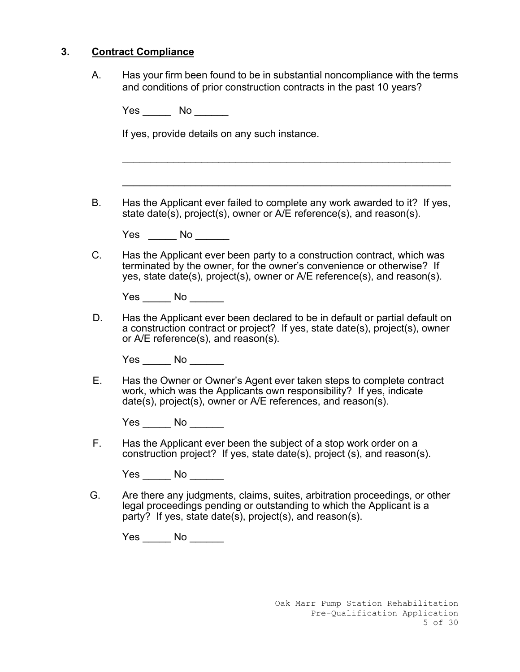### **3. Contract Compliance**

A. Has your firm been found to be in substantial noncompliance with the terms and conditions of prior construction contracts in the past 10 years?

Yes No No District No No District No. 1996. In 1997, 1997, 1997, 1997, 1997, 1997

If yes, provide details on any such instance.

B. Has the Applicant ever failed to complete any work awarded to it? If yes, state date(s), project(s), owner or A/E reference(s), and reason(s).

 $\mathcal{L}_\text{max}$  , and the contract of the contract of the contract of the contract of the contract of the contract of the contract of the contract of the contract of the contract of the contract of the contract of the contr

\_\_\_\_\_\_\_\_\_\_\_\_\_\_\_\_\_\_\_\_\_\_\_\_\_\_\_\_\_\_\_\_\_\_\_\_\_\_\_\_\_\_\_\_\_\_\_\_\_\_\_\_\_\_\_\_\_\_

- Yes No No District No No District No. 1996. In 1997, 1997, 1997, 1997, 1997, 1997
- C. Has the Applicant ever been party to a construction contract, which was terminated by the owner, for the owner's convenience or otherwise? If yes, state date(s), project(s), owner or A/E reference(s), and reason(s).

| v<br>$\sim$<br>່ປະ | N<br>NO. |  |
|--------------------|----------|--|
|                    |          |  |

 D. Has the Applicant ever been declared to be in default or partial default on a construction contract or project? If yes, state date(s), project(s), owner or A/E reference(s), and reason(s).

Yes \_\_\_\_\_\_ No \_\_\_\_\_\_

 E. Has the Owner or Owner's Agent ever taken steps to complete contract work, which was the Applicants own responsibility? If yes, indicate date(s), project(s), owner or A/E references, and reason(s).

Yes No  $\blacksquare$ 

 F. Has the Applicant ever been the subject of a stop work order on a construction project? If yes, state date(s), project (s), and reason(s).

Yes No No

 G. Are there any judgments, claims, suites, arbitration proceedings, or other legal proceedings pending or outstanding to which the Applicant is a party? If yes, state date(s), project(s), and reason(s).

Yes \_\_\_\_\_\_ No \_\_\_\_\_\_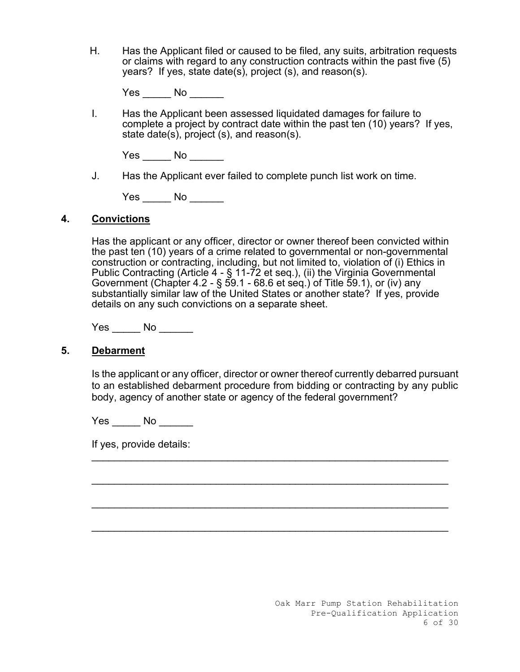H. Has the Applicant filed or caused to be filed, any suits, arbitration requests or claims with regard to any construction contracts within the past five (5) years? If yes, state date(s), project (s), and reason(s).

| Yes | No |  |  |  |  |
|-----|----|--|--|--|--|
|     |    |  |  |  |  |

I. Has the Applicant been assessed liquidated damages for failure to complete a project by contract date within the past ten (10) years? If yes, state date(s), project (s), and reason(s).

Yes No No District No No District No. 1997

J. Has the Applicant ever failed to complete punch list work on time.

Yes \_\_\_\_\_ No \_\_\_\_\_\_

#### **4. Convictions**

Has the applicant or any officer, director or owner thereof been convicted within the past ten (10) years of a crime related to governmental or non-governmental construction or contracting, including, but not limited to, violation of (i) Ethics in Public Contracting (Article 4 - § 11-72 et seq.), (ii) the Virginia Governmental Government (Chapter 4.2 - § 59.1 - 68.6 et seq.) of Title 59.1), or (iv) any substantially similar law of the United States or another state? If yes, provide details on any such convictions on a separate sheet.

Yes \_\_\_\_\_ No \_\_\_\_\_\_

#### **5. Debarment**

Is the applicant or any officer, director or owner thereof currently debarred pursuant to an established debarment procedure from bidding or contracting by any public body, agency of another state or agency of the federal government?

\_\_\_\_\_\_\_\_\_\_\_\_\_\_\_\_\_\_\_\_\_\_\_\_\_\_\_\_\_\_\_\_\_\_\_\_\_\_\_\_\_\_\_\_\_\_\_\_\_\_\_\_\_\_\_\_\_\_\_\_\_\_\_

 $\mathcal{L}_\text{max}$  , and the contribution of the contribution of the contribution of the contribution of the contribution of the contribution of the contribution of the contribution of the contribution of the contribution of t

\_\_\_\_\_\_\_\_\_\_\_\_\_\_\_\_\_\_\_\_\_\_\_\_\_\_\_\_\_\_\_\_\_\_\_\_\_\_\_\_\_\_\_\_\_\_\_\_\_\_\_\_\_\_\_\_\_\_\_\_\_\_\_

 $\mathcal{L}_\text{max}$  , and the contribution of the contribution of the contribution of the contribution of the contribution of the contribution of the contribution of the contribution of the contribution of the contribution of t

Yes No  $\blacksquare$ 

If yes, provide details: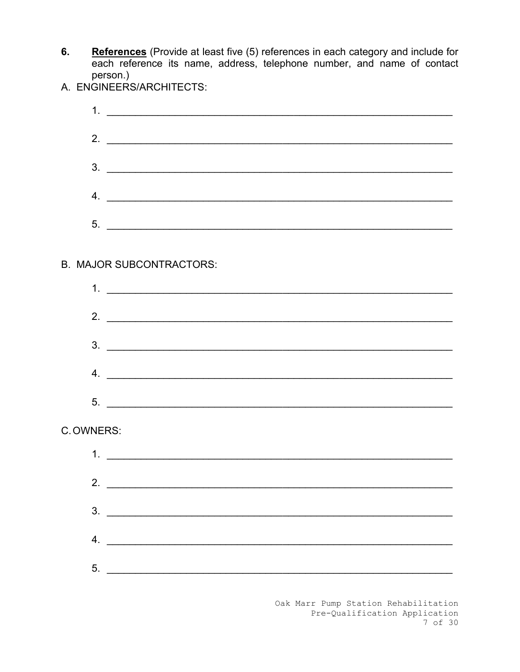- References (Provide at least five (5) references in each category and include for each reference its name, address, telephone number, and name of contact 6. person.)<br>A. ENGINEERS/ARCHITECTS:
- 

|           | $2.$ $\overline{\phantom{a}}$   |
|-----------|---------------------------------|
|           | $3.$ $\overline{\phantom{a}}$   |
|           | 4. $\overline{\phantom{a}}$     |
|           |                                 |
|           | $5.$ $\overline{\phantom{a}}$   |
|           | <b>B. MAJOR SUBCONTRACTORS:</b> |
|           |                                 |
|           |                                 |
|           | $3.$ $\overline{\phantom{a}}$   |
|           | 4. $\overline{\phantom{a}}$     |
|           | $5.$ $\overline{\phantom{a}}$   |
| C.OWNERS: |                                 |
|           |                                 |
|           |                                 |
|           | $\frac{3}{2}$                   |
|           | 4. $\qquad \qquad$              |
|           | $5.$ $\overline{\phantom{a}}$   |
|           |                                 |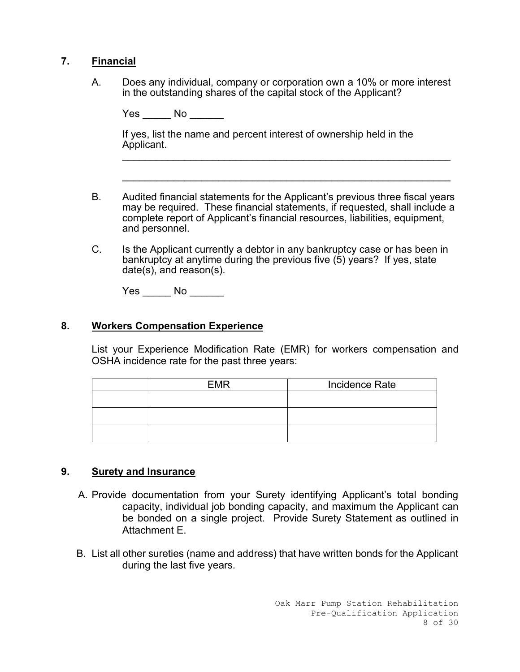### **7. Financial**

A. Does any individual, company or corporation own a 10% or more interest in the outstanding shares of the capital stock of the Applicant?

| Yes | No |  |
|-----|----|--|
|     |    |  |

If yes, list the name and percent interest of ownership held in the Applicant.  $\mathcal{L}_\text{max}$  , and the contract of the contract of the contract of the contract of the contract of the contract of the contract of the contract of the contract of the contract of the contract of the contract of the contr

B. Audited financial statements for the Applicant's previous three fiscal years may be required. These financial statements, if requested, shall include a complete report of Applicant's financial resources, liabilities, equipment, and personnel.

 $\mathcal{L}_\text{max}$  , and the contract of the contract of the contract of the contract of the contract of the contract of the contract of the contract of the contract of the contract of the contract of the contract of the contr

C. Is the Applicant currently a debtor in any bankruptcy case or has been in bankruptcy at anytime during the previous five (5) years? If yes, state date(s), and reason(s).

Yes No  $\blacksquare$ 

#### **8. Workers Compensation Experience**

List your Experience Modification Rate (EMR) for workers compensation and OSHA incidence rate for the past three years:

| <b>EMR</b> | Incidence Rate |
|------------|----------------|
|            |                |
|            |                |
|            |                |

#### **9. Surety and Insurance**

- A. Provide documentation from your Surety identifying Applicant's total bonding capacity, individual job bonding capacity, and maximum the Applicant can be bonded on a single project. Provide Surety Statement as outlined in Attachment E.
- B. List all other sureties (name and address) that have written bonds for the Applicant during the last five years.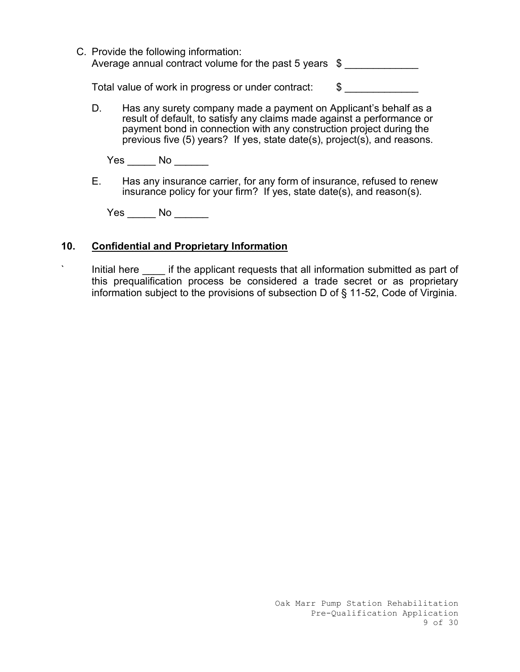| C. Provide the following information:                   |  |
|---------------------------------------------------------|--|
| Average annual contract volume for the past 5 years $$$ |  |

Total value of work in progress or under contract: \$

D. Has any surety company made a payment on Applicant's behalf as a result of default, to satisfy any claims made against a performance or payment bond in connection with any construction project during the previous five (5) years? If yes, state date(s), project(s), and reasons.

Yes No No

E. Has any insurance carrier, for any form of insurance, refused to renew insurance policy for your firm? If yes, state date(s), and reason(s).

Yes \_\_\_\_\_ No \_\_\_\_\_\_

## **10. Confidential and Proprietary Information**

` Initial here if the applicant requests that all information submitted as part of this prequalification process be considered a trade secret or as proprietary information subject to the provisions of subsection D of § 11-52, Code of Virginia.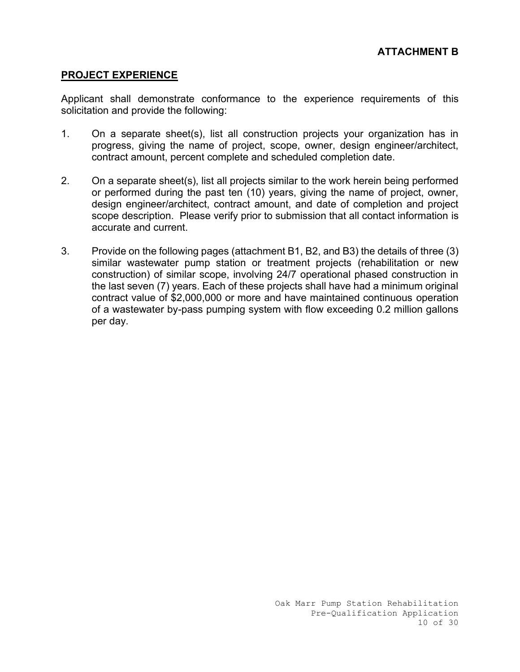### **PROJECT EXPERIENCE**

Applicant shall demonstrate conformance to the experience requirements of this solicitation and provide the following:

- 1. On a separate sheet(s), list all construction projects your organization has in progress, giving the name of project, scope, owner, design engineer/architect, contract amount, percent complete and scheduled completion date.
- 2. On a separate sheet(s), list all projects similar to the work herein being performed or performed during the past ten (10) years, giving the name of project, owner, design engineer/architect, contract amount, and date of completion and project scope description. Please verify prior to submission that all contact information is accurate and current.
- 3. Provide on the following pages (attachment B1, B2, and B3) the details of three (3) similar wastewater pump station or treatment projects (rehabilitation or new construction) of similar scope, involving 24/7 operational phased construction in the last seven (7) years. Each of these projects shall have had a minimum original contract value of \$2,000,000 or more and have maintained continuous operation of a wastewater by-pass pumping system with flow exceeding 0.2 million gallons per day.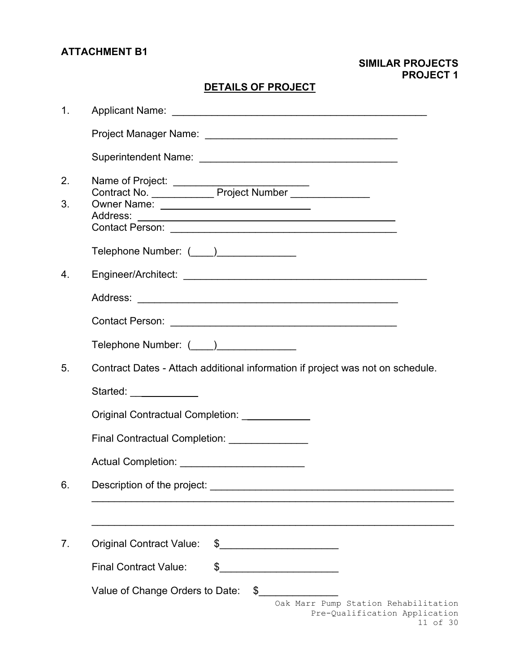# **ATTACHMENT B1**

## **SIMILAR PROJECTS PROJECT 1**

# **DETAILS OF PROJECT**

| 1.       |                                                                                                                                                                                                                                                                                                                                                                                                        |
|----------|--------------------------------------------------------------------------------------------------------------------------------------------------------------------------------------------------------------------------------------------------------------------------------------------------------------------------------------------------------------------------------------------------------|
|          |                                                                                                                                                                                                                                                                                                                                                                                                        |
|          |                                                                                                                                                                                                                                                                                                                                                                                                        |
| 2.<br>3. | Name of Project:<br>Contract No. ________________ Project Number _________________                                                                                                                                                                                                                                                                                                                     |
|          | Telephone Number: (____)_______________                                                                                                                                                                                                                                                                                                                                                                |
| 4.       |                                                                                                                                                                                                                                                                                                                                                                                                        |
|          |                                                                                                                                                                                                                                                                                                                                                                                                        |
|          |                                                                                                                                                                                                                                                                                                                                                                                                        |
|          | Telephone Number: (____)_______________                                                                                                                                                                                                                                                                                                                                                                |
| 5.       | Contract Dates - Attach additional information if project was not on schedule.                                                                                                                                                                                                                                                                                                                         |
|          | Started: ___________                                                                                                                                                                                                                                                                                                                                                                                   |
|          | Original Contractual Completion: \[ \]                                                                                                                                                                                                                                                                                                                                                                 |
|          | Final Contractual Completion: _______________                                                                                                                                                                                                                                                                                                                                                          |
|          | Actual Completion: __________________________                                                                                                                                                                                                                                                                                                                                                          |
| 6.       | Description of the project:<br><u> 2000 - 2000 - 2000 - 2000 - 2000 - 2000 - 2000 - 2000 - 2000 - 2000 - 2000 - 2000 - 2000 - 2000 - 2000 - 200</u>                                                                                                                                                                                                                                                    |
|          |                                                                                                                                                                                                                                                                                                                                                                                                        |
| 7.       | <b>Original Contract Value:</b><br>$\begin{picture}(20,10) \put(0,0){\vector(1,0){100}} \put(15,0){\vector(1,0){100}} \put(15,0){\vector(1,0){100}} \put(15,0){\vector(1,0){100}} \put(15,0){\vector(1,0){100}} \put(15,0){\vector(1,0){100}} \put(15,0){\vector(1,0){100}} \put(15,0){\vector(1,0){100}} \put(15,0){\vector(1,0){100}} \put(15,0){\vector(1,0){100}} \put(15,0){\vector(1,0){100}} \$ |
|          | \$<br><b>Final Contract Value:</b><br><u> 1990 - Johann Barn, martin a</u>                                                                                                                                                                                                                                                                                                                             |
|          | \$<br>Value of Change Orders to Date:                                                                                                                                                                                                                                                                                                                                                                  |
|          | Oak Marr Pump Station Rehabilitation<br>Pre-Qualification Application<br>11 of 30                                                                                                                                                                                                                                                                                                                      |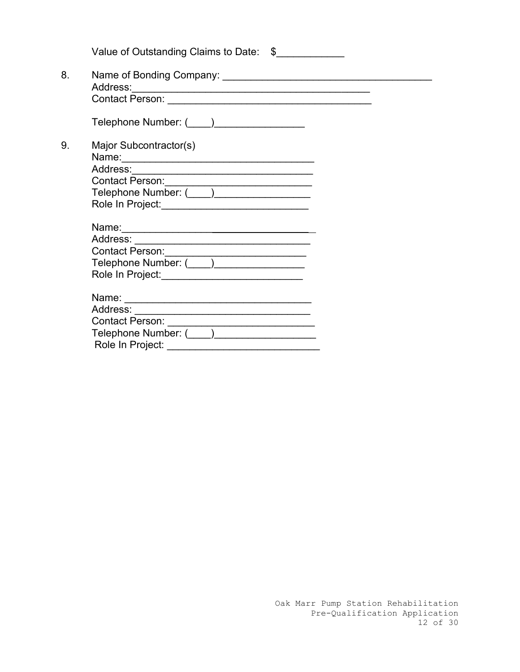|    | Value of Outstanding Claims to Date: \$                                                                                                                                                                                                                                                |
|----|----------------------------------------------------------------------------------------------------------------------------------------------------------------------------------------------------------------------------------------------------------------------------------------|
| 8. |                                                                                                                                                                                                                                                                                        |
|    | Telephone Number: (____)___________________                                                                                                                                                                                                                                            |
| 9. | Major Subcontractor(s)<br>Telephone Number: ( )<br>Role In Project: __________________________________                                                                                                                                                                                 |
|    | Contact Person: ___________________________<br>Telephone Number: (____)__________________<br>Role In Project: ______________________________                                                                                                                                           |
|    | Name: 2008 2009 2010 2020 2021 2022 2023 2024 2022 2023 2024 2022 2023 2024 2022 2023 2024 2022 2023 2024 2022 2023 2024 2025 2026 2027 2028 2029 2020 2021 2022 2023 2024 2022 2023 2024 2023 2024 2025 2027 2028 2027 2028 2<br>Role In Project: ___________________________________ |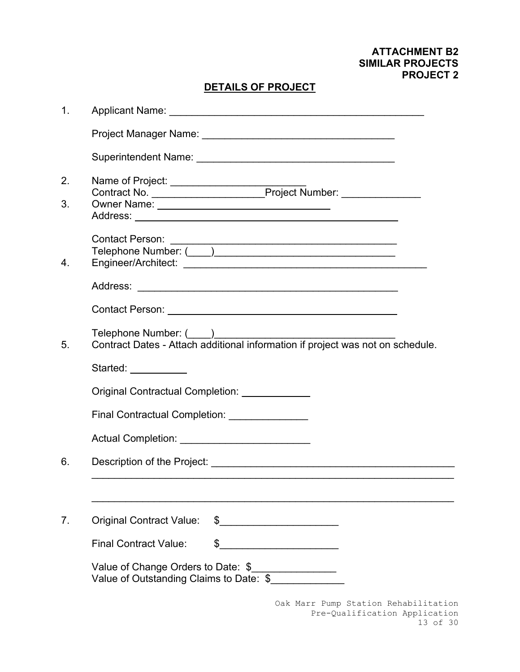**ATTACHMENT B2 SIMILAR PROJECTS PROJECT 2**

# **DETAILS OF PROJECT**

| 1.       |                                                                               |
|----------|-------------------------------------------------------------------------------|
|          |                                                                               |
|          |                                                                               |
| 2.<br>3. |                                                                               |
| 4.       |                                                                               |
|          |                                                                               |
|          |                                                                               |
| 5.       |                                                                               |
|          | Started: ___________                                                          |
|          | Original Contractual Completion: ___________                                  |
|          | Final Contractual Completion: _______________                                 |
|          | Actual Completion: ______________________________                             |
| 6.       |                                                                               |
|          |                                                                               |
| 7.       | <b>Original Contract Value:</b><br>$\frac{1}{2}$                              |
|          | \$<br><b>Final Contract Value:</b>                                            |
|          | Value of Change Orders to Date: \$<br>Value of Outstanding Claims to Date: \$ |
|          |                                                                               |

Oak Marr Pump Station Rehabilitation Pre-Qualification Application 13 of 30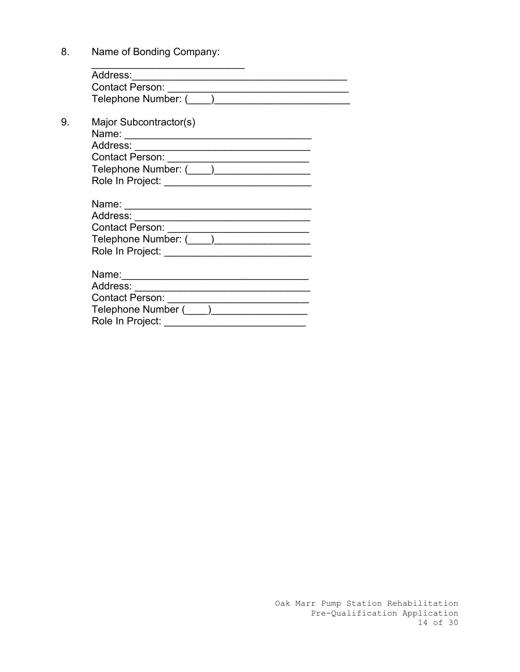8. Name of Bonding Company:

| Address:                                                                                                        | <u> 1980 - Johann Johann Stormann (b. 1980)</u> |
|-----------------------------------------------------------------------------------------------------------------|-------------------------------------------------|
| Contact Person:                                                                                                 |                                                 |
| Telephone Number: ()                                                                                            |                                                 |
| Major Subcontractor(s)                                                                                          |                                                 |
|                                                                                                                 |                                                 |
|                                                                                                                 |                                                 |
|                                                                                                                 |                                                 |
|                                                                                                                 |                                                 |
|                                                                                                                 |                                                 |
|                                                                                                                 |                                                 |
|                                                                                                                 |                                                 |
|                                                                                                                 |                                                 |
| <b>Contact Person:</b>                                                                                          |                                                 |
|                                                                                                                 |                                                 |
| Role In Project: New York Changes and Changes and Changes and Changes and Changes and Changes and Changes and C |                                                 |
|                                                                                                                 |                                                 |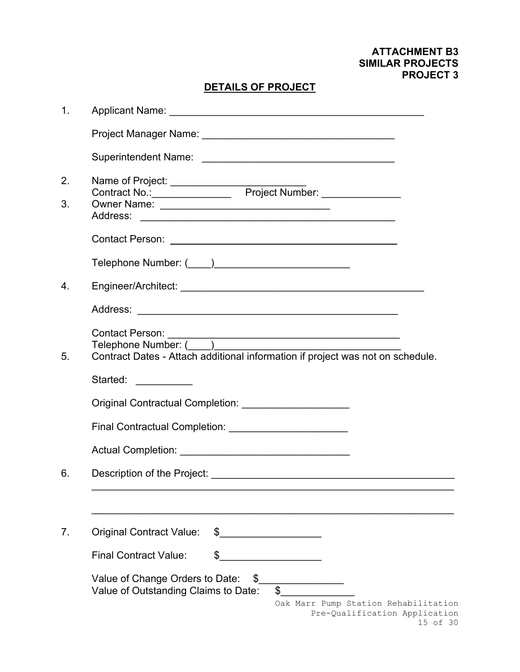**ATTACHMENT B3 SIMILAR PROJECTS PROJECT 3**

# **DETAILS OF PROJECT**

| 1.             |                                                                                                                                                                    |
|----------------|--------------------------------------------------------------------------------------------------------------------------------------------------------------------|
|                |                                                                                                                                                                    |
|                |                                                                                                                                                                    |
| 2.<br>3.       |                                                                                                                                                                    |
|                |                                                                                                                                                                    |
|                |                                                                                                                                                                    |
| 4.             |                                                                                                                                                                    |
|                |                                                                                                                                                                    |
| 5.             | Contract Dates - Attach additional information if project was not on schedule.                                                                                     |
|                | Started: ________                                                                                                                                                  |
|                | Original Contractual Completion: ______________________                                                                                                            |
|                | Final Contractual Completion: [19] [19] Discovery Contractual Completion:                                                                                          |
|                |                                                                                                                                                                    |
| 6.             |                                                                                                                                                                    |
|                |                                                                                                                                                                    |
| 7 <sub>1</sub> | <b>Original Contract Value:</b><br>\$                                                                                                                              |
|                | <b>Final Contract Value:</b><br>\$                                                                                                                                 |
|                | Value of Change Orders to Date:<br>\$<br>Value of Outstanding Claims to Date:<br>Oak Marr Pump Station Rehabilitation<br>Pre-Qualification Application<br>15 of 30 |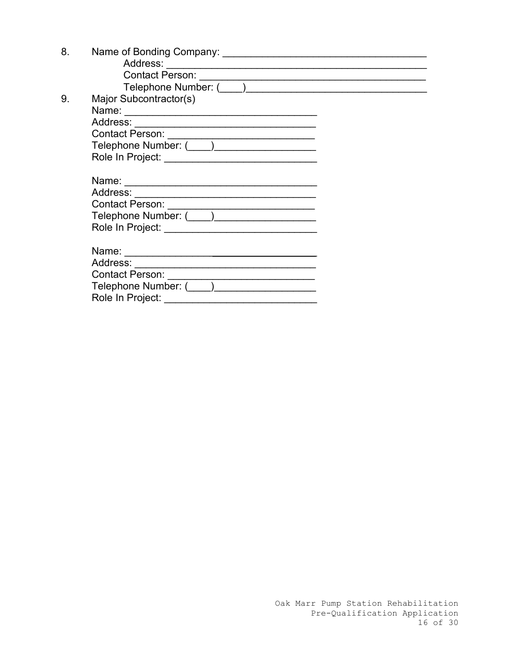| 8. |                                                                                                                |
|----|----------------------------------------------------------------------------------------------------------------|
|    |                                                                                                                |
|    |                                                                                                                |
|    | Telephone Number: ()                                                                                           |
| 9. | Major Subcontractor(s)                                                                                         |
|    |                                                                                                                |
|    |                                                                                                                |
|    |                                                                                                                |
|    | Telephone Number: (California)                                                                                 |
|    |                                                                                                                |
|    |                                                                                                                |
|    |                                                                                                                |
|    |                                                                                                                |
|    |                                                                                                                |
|    | Telephone Number: ( )                                                                                          |
|    |                                                                                                                |
|    |                                                                                                                |
|    | Name: 2008 2009 2010 2020 2021 2022 2023 2024 2022 2022 2023 2024 2022 2023 2024 2022 2023 2024 2022 2023 2024 |
|    |                                                                                                                |
|    |                                                                                                                |
|    |                                                                                                                |
|    |                                                                                                                |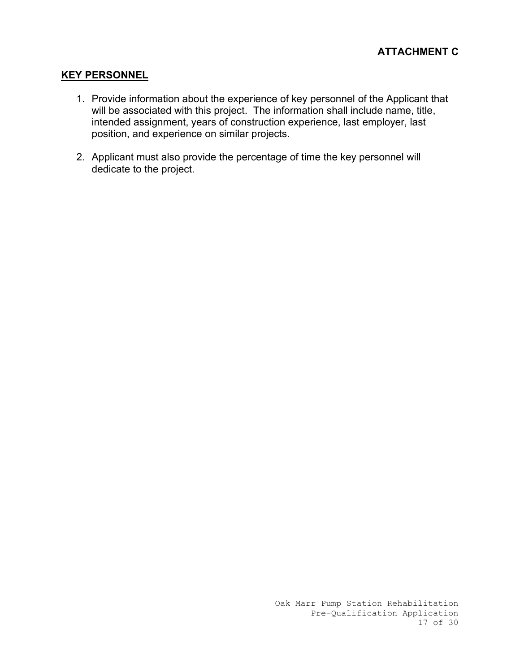### **KEY PERSONNEL**

- 1. Provide information about the experience of key personnel of the Applicant that will be associated with this project. The information shall include name, title, intended assignment, years of construction experience, last employer, last position, and experience on similar projects.
- 2. Applicant must also provide the percentage of time the key personnel will dedicate to the project.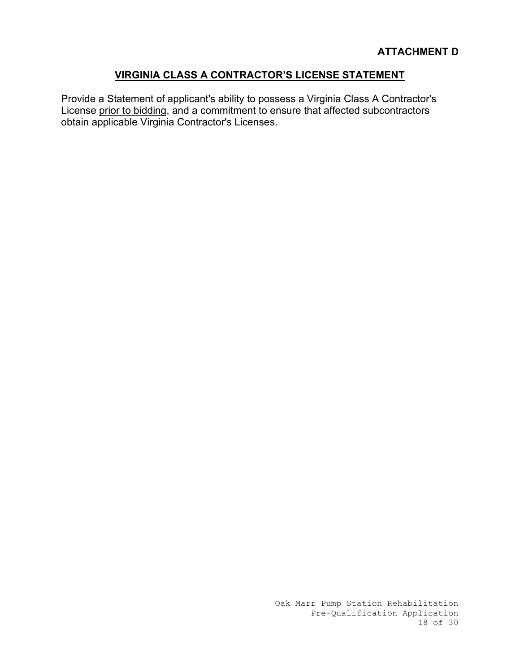## **VIRGINIA CLASS A CONTRACTOR'S LICENSE STATEMENT**

Provide a Statement of applicant's ability to possess a Virginia Class A Contractor's License prior to bidding, and a commitment to ensure that affected subcontractors obtain applicable Virginia Contractor's Licenses.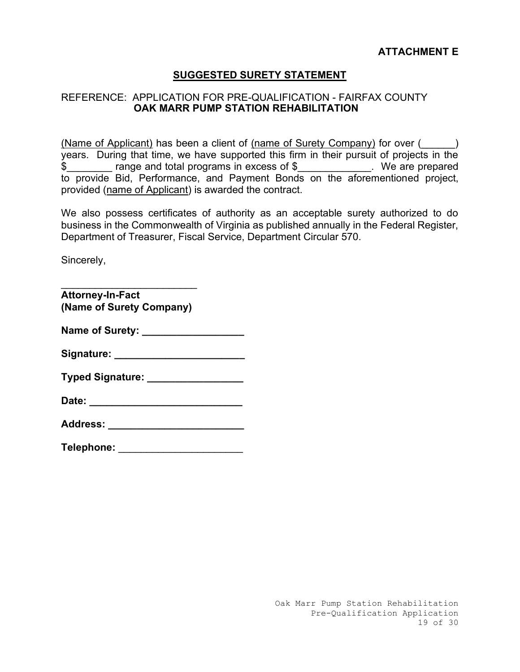## **SUGGESTED SURETY STATEMENT**

### REFERENCE: APPLICATION FOR PRE-QUALIFICATION - FAIRFAX COUNTY **OAK MARR PUMP STATION REHABILITATION**

(Name of Applicant) has been a client of (name of Surety Company) for over (\_\_\_\_\_\_) years. During that time, we have supported this firm in their pursuit of projects in the \$ Trange and total programs in excess of \$ The Second Excess of \$ to provide Bid, Performance, and Payment Bonds on the aforementioned project, provided (name of Applicant) is awarded the contract.

We also possess certificates of authority as an acceptable surety authorized to do business in the Commonwealth of Virginia as published annually in the Federal Register, Department of Treasurer, Fiscal Service, Department Circular 570.

Sincerely,

| <b>Attorney-In-Fact</b>            |
|------------------------------------|
| (Name of Surety Company)           |
| Name of Surety: __________________ |
| Signature: ___________________     |
| Typed Signature: _________________ |
| Date: ________________________     |
| Address: ____________________      |
| Telephone: __________________      |
|                                    |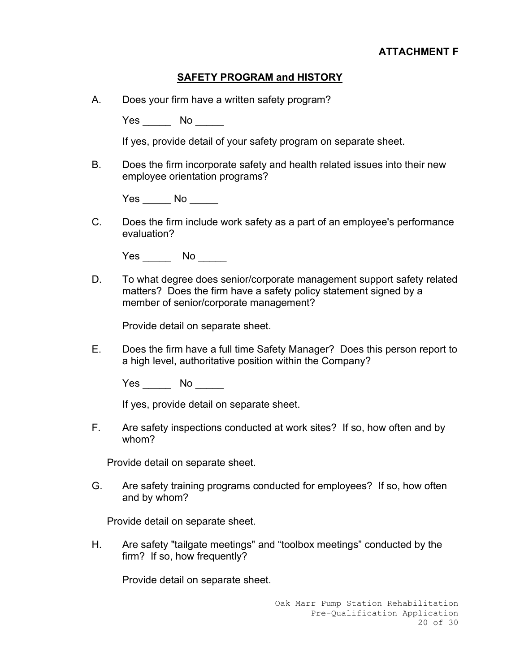## **SAFETY PROGRAM and HISTORY**

A. Does your firm have a written safety program?

Yes \_\_\_\_\_\_ No \_\_\_\_\_\_

If yes, provide detail of your safety program on separate sheet.

B. Does the firm incorporate safety and health related issues into their new employee orientation programs?

Yes \_\_\_\_\_\_ No \_\_\_\_\_\_

C. Does the firm include work safety as a part of an employee's performance evaluation?

Yes \_\_\_\_\_\_\_ No \_\_\_\_\_

D. To what degree does senior/corporate management support safety related matters? Does the firm have a safety policy statement signed by a member of senior/corporate management?

Provide detail on separate sheet.

E. Does the firm have a full time Safety Manager? Does this person report to a high level, authoritative position within the Company?

Yes No No

If yes, provide detail on separate sheet.

F. Are safety inspections conducted at work sites? If so, how often and by whom?

Provide detail on separate sheet.

G. Are safety training programs conducted for employees? If so, how often and by whom?

Provide detail on separate sheet.

H. Are safety "tailgate meetings" and "toolbox meetings" conducted by the firm? If so, how frequently?

Provide detail on separate sheet.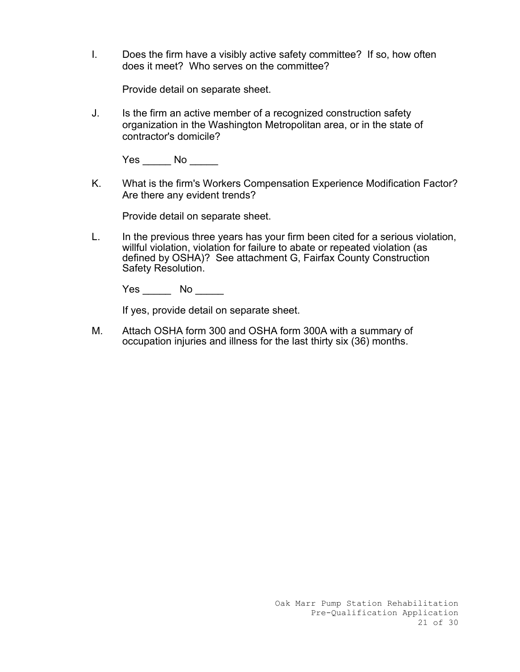I. Does the firm have a visibly active safety committee? If so, how often does it meet? Who serves on the committee?

Provide detail on separate sheet.

J. Is the firm an active member of a recognized construction safety organization in the Washington Metropolitan area, or in the state of contractor's domicile?

Yes No

K. What is the firm's Workers Compensation Experience Modification Factor? Are there any evident trends?

Provide detail on separate sheet.

L. In the previous three years has your firm been cited for a serious violation, willful violation, violation for failure to abate or repeated violation (as defined by OSHA)? See attachment G, Fairfax County Construction Safety Resolution.

Yes No No

If yes, provide detail on separate sheet.

M. Attach OSHA form 300 and OSHA form 300A with a summary of occupation injuries and illness for the last thirty six (36) months.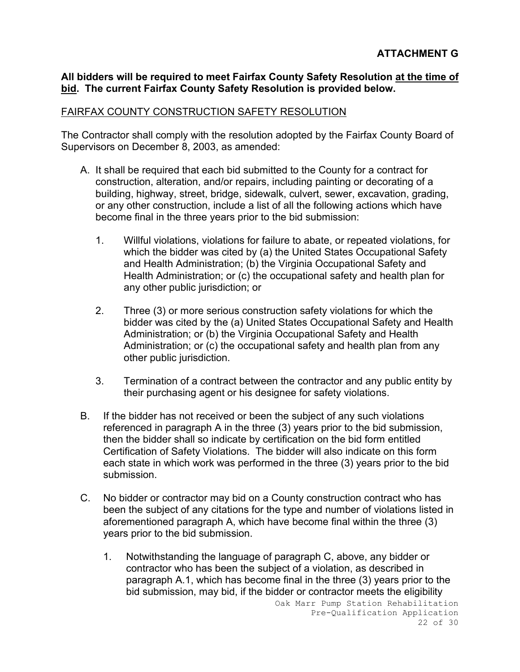## **ATTACHMENT G**

### **All bidders will be required to meet Fairfax County Safety Resolution at the time of bid. The current Fairfax County Safety Resolution is provided below.**

## FAIRFAX COUNTY CONSTRUCTION SAFETY RESOLUTION

The Contractor shall comply with the resolution adopted by the Fairfax County Board of Supervisors on December 8, 2003, as amended:

- A. It shall be required that each bid submitted to the County for a contract for construction, alteration, and/or repairs, including painting or decorating of a building, highway, street, bridge, sidewalk, culvert, sewer, excavation, grading, or any other construction, include a list of all the following actions which have become final in the three years prior to the bid submission:
	- 1. Willful violations, violations for failure to abate, or repeated violations, for which the bidder was cited by (a) the United States Occupational Safety and Health Administration; (b) the Virginia Occupational Safety and Health Administration; or (c) the occupational safety and health plan for any other public jurisdiction; or
	- 2. Three (3) or more serious construction safety violations for which the bidder was cited by the (a) United States Occupational Safety and Health Administration; or (b) the Virginia Occupational Safety and Health Administration; or (c) the occupational safety and health plan from any other public jurisdiction.
	- 3. Termination of a contract between the contractor and any public entity by their purchasing agent or his designee for safety violations.
- B. If the bidder has not received or been the subject of any such violations referenced in paragraph A in the three (3) years prior to the bid submission, then the bidder shall so indicate by certification on the bid form entitled Certification of Safety Violations. The bidder will also indicate on this form each state in which work was performed in the three (3) years prior to the bid submission.
- C. No bidder or contractor may bid on a County construction contract who has been the subject of any citations for the type and number of violations listed in aforementioned paragraph A, which have become final within the three (3) years prior to the bid submission.
	- 1. Notwithstanding the language of paragraph C, above, any bidder or contractor who has been the subject of a violation, as described in paragraph A.1, which has become final in the three (3) years prior to the bid submission, may bid, if the bidder or contractor meets the eligibility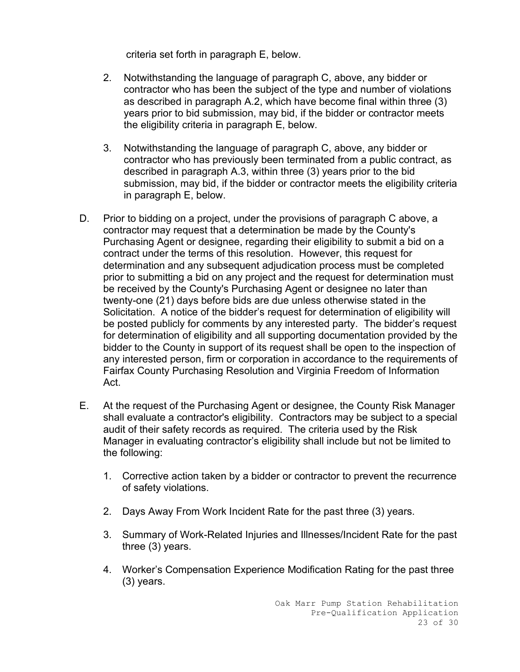criteria set forth in paragraph E, below.

- 2. Notwithstanding the language of paragraph C, above, any bidder or contractor who has been the subject of the type and number of violations as described in paragraph A.2, which have become final within three (3) years prior to bid submission, may bid, if the bidder or contractor meets the eligibility criteria in paragraph E, below.
- 3. Notwithstanding the language of paragraph C, above, any bidder or contractor who has previously been terminated from a public contract, as described in paragraph A.3, within three (3) years prior to the bid submission, may bid, if the bidder or contractor meets the eligibility criteria in paragraph E, below.
- D. Prior to bidding on a project, under the provisions of paragraph C above, a contractor may request that a determination be made by the County's Purchasing Agent or designee, regarding their eligibility to submit a bid on a contract under the terms of this resolution. However, this request for determination and any subsequent adjudication process must be completed prior to submitting a bid on any project and the request for determination must be received by the County's Purchasing Agent or designee no later than twenty-one (21) days before bids are due unless otherwise stated in the Solicitation. A notice of the bidder's request for determination of eligibility will be posted publicly for comments by any interested party. The bidder's request for determination of eligibility and all supporting documentation provided by the bidder to the County in support of its request shall be open to the inspection of any interested person, firm or corporation in accordance to the requirements of Fairfax County Purchasing Resolution and Virginia Freedom of Information Act.
- E. At the request of the Purchasing Agent or designee, the County Risk Manager shall evaluate a contractor's eligibility. Contractors may be subject to a special audit of their safety records as required. The criteria used by the Risk Manager in evaluating contractor's eligibility shall include but not be limited to the following:
	- 1. Corrective action taken by a bidder or contractor to prevent the recurrence of safety violations.
	- 2. Days Away From Work Incident Rate for the past three (3) years.
	- 3. Summary of Work-Related Injuries and Illnesses/Incident Rate for the past three (3) years.
	- 4. Worker's Compensation Experience Modification Rating for the past three (3) years.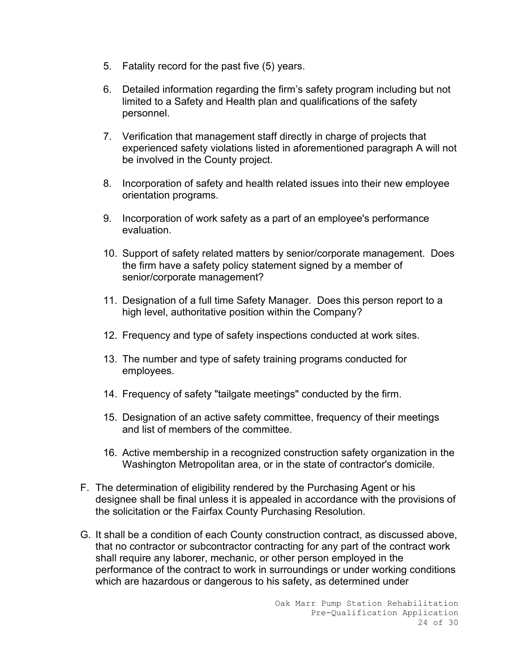- 5. Fatality record for the past five (5) years.
- 6. Detailed information regarding the firm's safety program including but not limited to a Safety and Health plan and qualifications of the safety personnel.
- 7. Verification that management staff directly in charge of projects that experienced safety violations listed in aforementioned paragraph A will not be involved in the County project.
- 8. Incorporation of safety and health related issues into their new employee orientation programs.
- 9. Incorporation of work safety as a part of an employee's performance evaluation.
- 10. Support of safety related matters by senior/corporate management. Does the firm have a safety policy statement signed by a member of senior/corporate management?
- 11. Designation of a full time Safety Manager. Does this person report to a high level, authoritative position within the Company?
- 12. Frequency and type of safety inspections conducted at work sites.
- 13. The number and type of safety training programs conducted for employees.
- 14. Frequency of safety "tailgate meetings" conducted by the firm.
- 15. Designation of an active safety committee, frequency of their meetings and list of members of the committee.
- 16. Active membership in a recognized construction safety organization in the Washington Metropolitan area, or in the state of contractor's domicile.
- F. The determination of eligibility rendered by the Purchasing Agent or his designee shall be final unless it is appealed in accordance with the provisions of the solicitation or the Fairfax County Purchasing Resolution.
- G. It shall be a condition of each County construction contract, as discussed above, that no contractor or subcontractor contracting for any part of the contract work shall require any laborer, mechanic, or other person employed in the performance of the contract to work in surroundings or under working conditions which are hazardous or dangerous to his safety, as determined under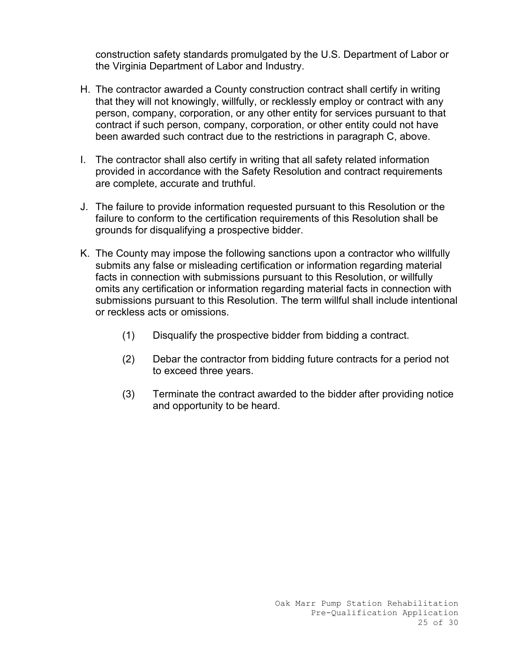construction safety standards promulgated by the U.S. Department of Labor or the Virginia Department of Labor and Industry.

- H. The contractor awarded a County construction contract shall certify in writing that they will not knowingly, willfully, or recklessly employ or contract with any person, company, corporation, or any other entity for services pursuant to that contract if such person, company, corporation, or other entity could not have been awarded such contract due to the restrictions in paragraph C, above.
- I. The contractor shall also certify in writing that all safety related information provided in accordance with the Safety Resolution and contract requirements are complete, accurate and truthful.
- J. The failure to provide information requested pursuant to this Resolution or the failure to conform to the certification requirements of this Resolution shall be grounds for disqualifying a prospective bidder.
- K. The County may impose the following sanctions upon a contractor who willfully submits any false or misleading certification or information regarding material facts in connection with submissions pursuant to this Resolution, or willfully omits any certification or information regarding material facts in connection with submissions pursuant to this Resolution. The term willful shall include intentional or reckless acts or omissions.
	- (1) Disqualify the prospective bidder from bidding a contract.
	- (2) Debar the contractor from bidding future contracts for a period not to exceed three years.
	- (3) Terminate the contract awarded to the bidder after providing notice and opportunity to be heard.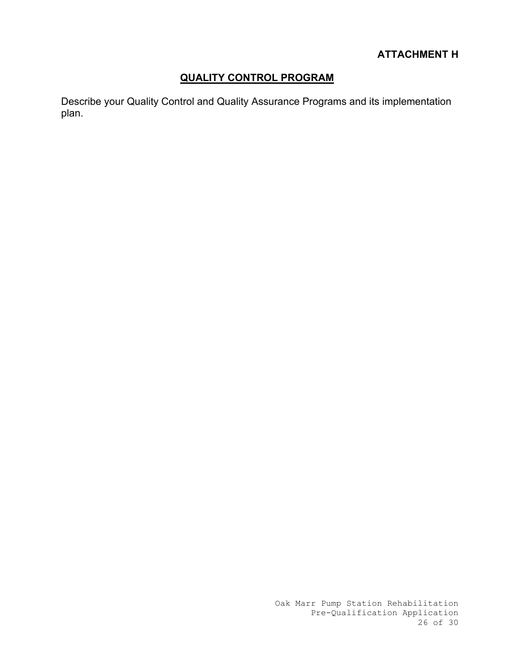# **ATTACHMENT H**

# **QUALITY CONTROL PROGRAM**

Describe your Quality Control and Quality Assurance Programs and its implementation plan.

> Oak Marr Pump Station Rehabilitation Pre-Qualification Application 26 of 30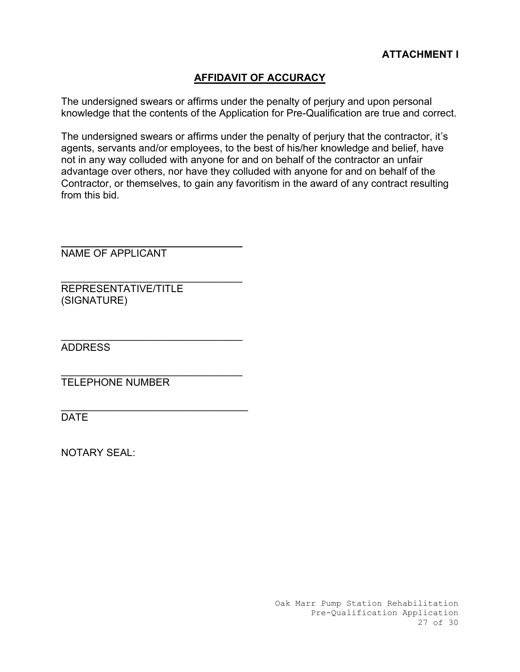## **AFFIDAVIT OF ACCURACY**

The undersigned swears or affirms under the penalty of perjury and upon personal knowledge that the contents of the Application for Pre-Qualification are true and correct.

The undersigned swears or affirms under the penalty of perjury that the contractor, it's agents, servants and/or employees, to the best of his/her knowledge and belief, have not in any way colluded with anyone for and on behalf of the contractor an unfair advantage over others, nor have they colluded with anyone for and on behalf of the Contractor, or themselves, to gain any favoritism in the award of any contract resulting from this bid.

NAME OF APPLICANT

\_\_\_\_\_\_\_\_\_\_\_\_\_\_\_\_\_\_\_\_\_\_\_\_\_\_\_\_\_\_\_\_

 $\mathcal{L}_\text{max}$  , and the set of the set of the set of the set of the set of the set of the set of the set of the set of the set of the set of the set of the set of the set of the set of the set of the set of the set of the

\_\_\_\_\_\_\_\_\_\_\_\_\_\_\_\_\_\_\_\_\_\_\_\_\_\_\_\_\_\_\_\_

 $\mathcal{L}_\text{max}$  , and the set of the set of the set of the set of the set of the set of the set of the set of the set of the set of the set of the set of the set of the set of the set of the set of the set of the set of the

REPRESENTATIVE/TITLE (SIGNATURE)

 $\mathcal{L}_\text{max}$  , and the set of the set of the set of the set of the set of the set of the set of the set of the set of the set of the set of the set of the set of the set of the set of the set of the set of the set of the ADDRESS

TELEPHONE NUMBER

DATE

NOTARY SEAL: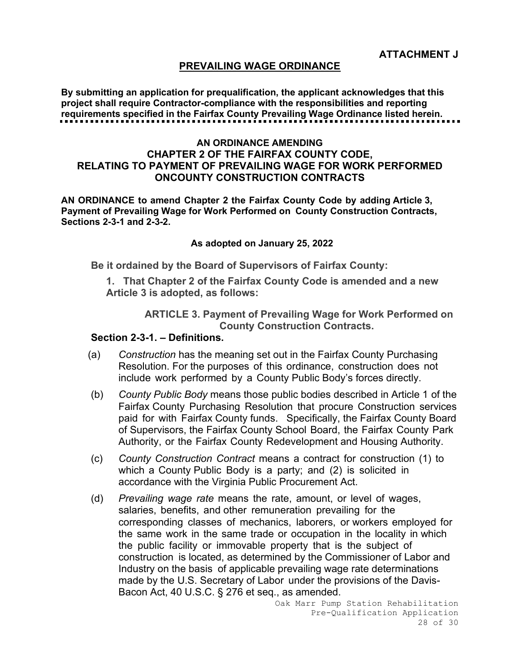#### **PREVAILING WAGE ORDINANCE**

**By submitting an application for prequalification, the applicant acknowledges that this project shall require Contractor-compliance with the responsibilities and reporting requirements specified in the Fairfax County Prevailing Wage Ordinance listed herein.**

#### **AN ORDINANCE AMENDING CHAPTER 2 OF THE FAIRFAX COUNTY CODE, RELATING TO PAYMENT OF PREVAILING WAGE FOR WORK PERFORMED ONCOUNTY CONSTRUCTION CONTRACTS**

**AN ORDINANCE to amend Chapter 2 the Fairfax County Code by adding Article 3, Payment of Prevailing Wage for Work Performed on County Construction Contracts, Sections 2-3-1 and 2-3-2.**

#### **As adopted on January 25, 2022**

**Be it ordained by the Board of Supervisors of Fairfax County:**

**1. That Chapter 2 of the Fairfax County Code is amended and a new Article 3 is adopted, as follows:**

#### **ARTICLE 3. Payment of Prevailing Wage for Work Performed on County Construction Contracts.**

#### **Section 2-3-1. – Definitions.**

- (a) *Construction* has the meaning set out in the Fairfax County Purchasing Resolution. For the purposes of this ordinance, construction does not include work performed by a County Public Body's forces directly.
- (b) *County Public Body* means those public bodies described in Article 1 of the Fairfax County Purchasing Resolution that procure Construction services paid for with Fairfax County funds. Specifically, the Fairfax County Board of Supervisors, the Fairfax County School Board, the Fairfax County Park Authority, or the Fairfax County Redevelopment and Housing Authority.
- (c) *County Construction Contract* means a contract for construction (1) to which a County Public Body is a party; and (2) is solicited in accordance with the Virginia Public Procurement Act.
- (d) *Prevailing wage rate* means the rate, amount, or level of wages, salaries, benefits, and other remuneration prevailing for the corresponding classes of mechanics, laborers, or workers employed for the same work in the same trade or occupation in the locality in which the public facility or immovable property that is the subject of construction is located, as determined by the Commissioner of Labor and Industry on the basis of applicable prevailing wage rate determinations made by the U.S. Secretary of Labor under the provisions of the Davis-Bacon Act, 40 U.S.C. § 276 et seq., as amended.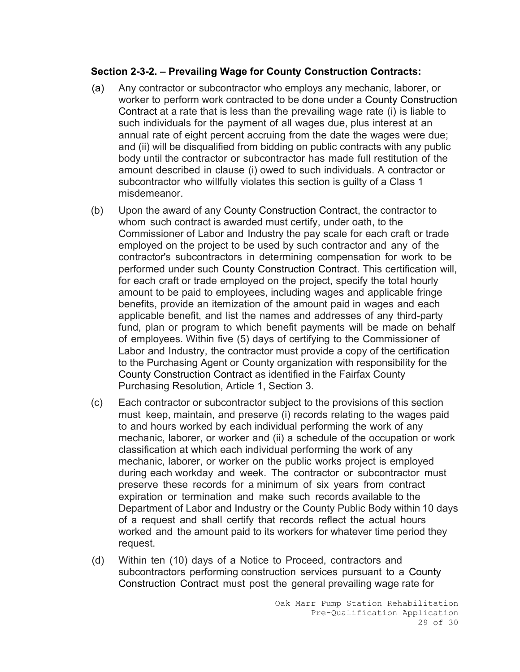## **Section 2-3-2. – Prevailing Wage for County Construction Contracts:**

- (a) Any contractor or subcontractor who employs any mechanic, laborer, or worker to perform work contracted to be done under a County Construction Contract at a rate that is less than the prevailing wage rate (i) is liable to such individuals for the payment of all wages due, plus interest at an annual rate of eight percent accruing from the date the wages were due; and (ii) will be disqualified from bidding on public contracts with any public body until the contractor or subcontractor has made full restitution of the amount described in clause (i) owed to such individuals. A contractor or subcontractor who willfully violates this section is guilty of a Class 1 misdemeanor.
- (b) Upon the award of any County Construction Contract, the contractor to whom such contract is awarded must certify, under oath, to the Commissioner of Labor and Industry the pay scale for each craft or trade employed on the project to be used by such contractor and any of the contractor's subcontractors in determining compensation for work to be performed under such County Construction Contract. This certification will, for each craft or trade employed on the project, specify the total hourly amount to be paid to employees, including wages and applicable fringe benefits, provide an itemization of the amount paid in wages and each applicable benefit, and list the names and addresses of any third-party fund, plan or program to which benefit payments will be made on behalf of employees. Within five (5) days of certifying to the Commissioner of Labor and Industry, the contractor must provide a copy of the certification to the Purchasing Agent or County organization with responsibility for the County Construction Contract as identified in the Fairfax County Purchasing Resolution, Article 1, Section 3.
- (c) Each contractor or subcontractor subject to the provisions of this section must keep, maintain, and preserve (i) records relating to the wages paid to and hours worked by each individual performing the work of any mechanic, laborer, or worker and (ii) a schedule of the occupation or work classification at which each individual performing the work of any mechanic, laborer, or worker on the public works project is employed during each workday and week. The contractor or subcontractor must preserve these records for a minimum of six years from contract expiration or termination and make such records available to the Department of Labor and Industry or the County Public Body within 10 days of a request and shall certify that records reflect the actual hours worked and the amount paid to its workers for whatever time period they request.
- (d) Within ten (10) days of a Notice to Proceed, contractors and subcontractors performing construction services pursuant to a County Construction Contract must post the general prevailing wage rate for